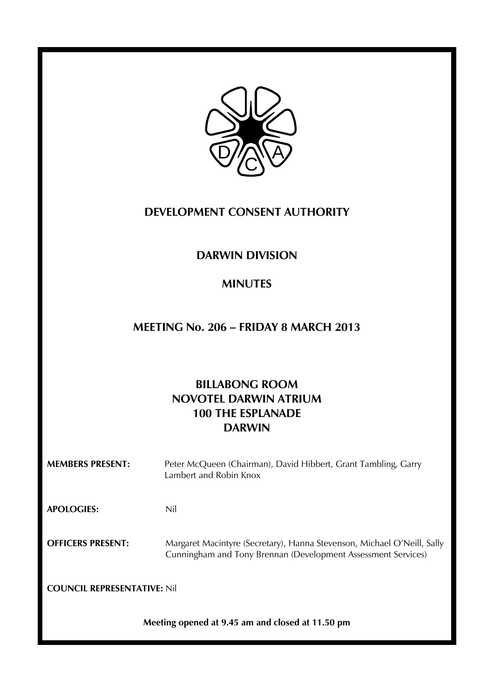

# **DEVELOPMENT CONSENT AUTHORITY**

# **DARWIN DIVISION**

# **MINUTES**

# **MEETING No. 206 – FRIDAY 8 MARCH 2013**

# **BILLABONG ROOM NOVOTEL DARWIN ATRIUM 100 THE ESPLANADE DARWIN**

| <b>MEMBERS PRESENT:</b>            | Peter McQueen (Chairman), David Hibbert, Grant Tambling, Garry<br>Lambert and Robin Knox                                                 |
|------------------------------------|------------------------------------------------------------------------------------------------------------------------------------------|
| <b>APOLOGIES:</b>                  | Nil                                                                                                                                      |
| <b>OFFICERS PRESENT:</b>           | Margaret Macintyre (Secretary), Hanna Stevenson, Michael O'Neill, Sally<br>Cunningham and Tony Brennan (Development Assessment Services) |
| <b>COUNCIL REPRESENTATIVE: Nil</b> |                                                                                                                                          |

**Meeting opened at 9.45 am and closed at 11.50 pm**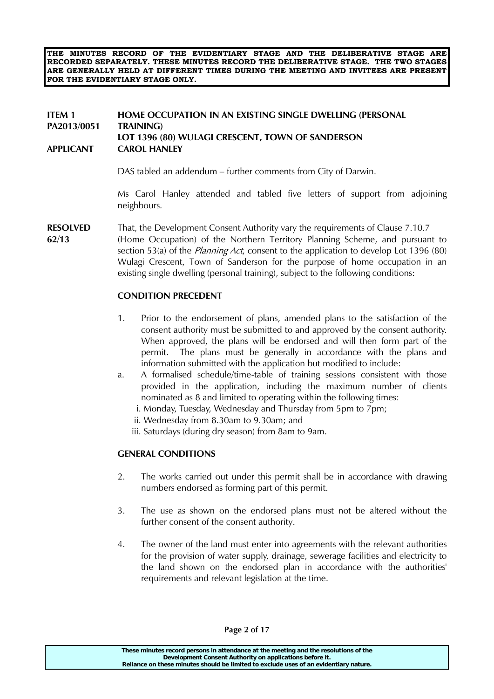**THE MINUTES RECORD OF THE EVIDENTIARY STAGE AND THE DELIBERATIVE STAGE ARE RECORDED SEPARATELY. THESE MINUTES RECORD THE DELIBERATIVE STAGE. THE TWO STAGES ARE GENERALLY HELD AT DIFFERENT TIMES DURING THE MEETING AND INVITEES ARE PRESENT FOR THE EVIDENTIARY STAGE ONLY.** 

## **ITEM 1 HOME OCCUPATION IN AN EXISTING SINGLE DWELLING (PERSONAL PA2013/0051 TRAINING) LOT 1396 (80) WULAGI CRESCENT, TOWN OF SANDERSON APPLICANT CAROL HANLEY**

DAS tabled an addendum – further comments from City of Darwin.

 Ms Carol Hanley attended and tabled five letters of support from adjoining neighbours.

**RESOLVED** That, the Development Consent Authority vary the requirements of Clause 7.10.7

**62/13** (Home Occupation) of the Northern Territory Planning Scheme, and pursuant to section 53(a) of the *Planning Act*, consent to the application to develop Lot 1396 (80) Wulagi Crescent, Town of Sanderson for the purpose of home occupation in an existing single dwelling (personal training), subject to the following conditions:

#### **CONDITION PRECEDENT**

- 1. Prior to the endorsement of plans, amended plans to the satisfaction of the consent authority must be submitted to and approved by the consent authority. When approved, the plans will be endorsed and will then form part of the permit. The plans must be generally in accordance with the plans and information submitted with the application but modified to include:
- a. A formalised schedule/time-table of training sessions consistent with those provided in the application, including the maximum number of clients nominated as 8 and limited to operating within the following times:
	- i. Monday, Tuesday, Wednesday and Thursday from 5pm to 7pm;
	- ii. Wednesday from 8.30am to 9.30am; and
	- iii. Saturdays (during dry season) from 8am to 9am.

## **GENERAL CONDITIONS**

- 2. The works carried out under this permit shall be in accordance with drawing numbers endorsed as forming part of this permit.
- 3. The use as shown on the endorsed plans must not be altered without the further consent of the consent authority.
- 4. The owner of the land must enter into agreements with the relevant authorities for the provision of water supply, drainage, sewerage facilities and electricity to the land shown on the endorsed plan in accordance with the authorities' requirements and relevant legislation at the time.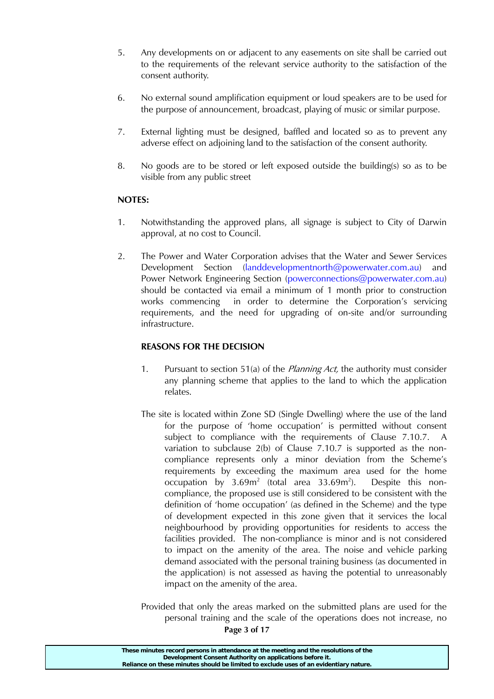- 5. Any developments on or adjacent to any easements on site shall be carried out to the requirements of the relevant service authority to the satisfaction of the consent authority.
- 6. No external sound amplification equipment or loud speakers are to be used for the purpose of announcement, broadcast, playing of music or similar purpose.
- 7. External lighting must be designed, baffled and located so as to prevent any adverse effect on adjoining land to the satisfaction of the consent authority.
- 8. No goods are to be stored or left exposed outside the building(s) so as to be visible from any public street

# **NOTES:**

- 1. Notwithstanding the approved plans, all signage is subject to City of Darwin approval, at no cost to Council.
- 2. The Power and Water Corporation advises that the Water and Sewer Services Development Section (landdevelopmentnorth@powerwater.com.au) and Power Network Engineering Section (powerconnections@powerwater.com.au) should be contacted via email a minimum of 1 month prior to construction works commencing in order to determine the Corporation's servicing requirements, and the need for upgrading of on-site and/or surrounding infrastructure.

# **REASONS FOR THE DECISION**

- 1. Pursuant to section 51(a) of the *Planning Act*, the authority must consider any planning scheme that applies to the land to which the application relates.
- The site is located within Zone SD (Single Dwelling) where the use of the land for the purpose of 'home occupation' is permitted without consent subject to compliance with the requirements of Clause 7.10.7. A variation to subclause 2(b) of Clause 7.10.7 is supported as the noncompliance represents only a minor deviation from the Scheme's requirements by exceeding the maximum area used for the home occupation by  $3.69m^2$  (total area  $33.69m^2$ ). Despite this noncompliance, the proposed use is still considered to be consistent with the definition of 'home occupation' (as defined in the Scheme) and the type of development expected in this zone given that it services the local neighbourhood by providing opportunities for residents to access the facilities provided. The non-compliance is minor and is not considered to impact on the amenity of the area. The noise and vehicle parking demand associated with the personal training business (as documented in the application) is not assessed as having the potential to unreasonably impact on the amenity of the area.
- **Page 3 of 17**  Provided that only the areas marked on the submitted plans are used for the personal training and the scale of the operations does not increase, no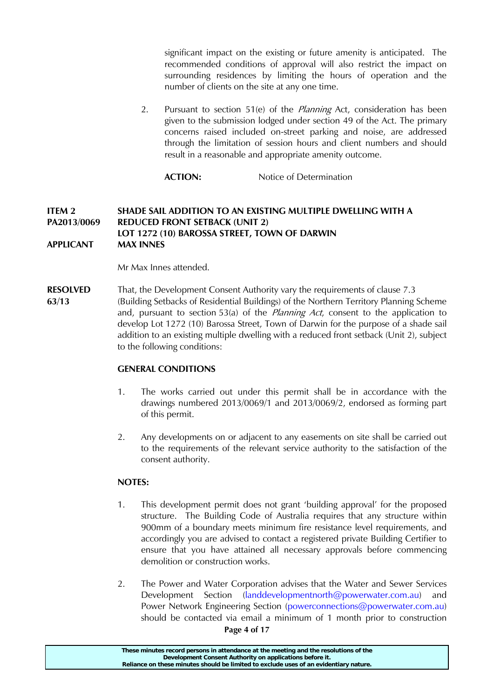significant impact on the existing or future amenity is anticipated. The recommended conditions of approval will also restrict the impact on surrounding residences by limiting the hours of operation and the number of clients on the site at any one time.

2. Pursuant to section 51(e) of the *Planning* Act, consideration has been given to the submission lodged under section 49 of the Act. The primary concerns raised included on-street parking and noise, are addressed through the limitation of session hours and client numbers and should result in a reasonable and appropriate amenity outcome.

**ACTION:** Notice of Determination

## **ITEM 2 SHADE SAIL ADDITION TO AN EXISTING MULTIPLE DWELLING WITH A PA2013/0069 REDUCED FRONT SETBACK (UNIT 2) LOT 1272 (10) BAROSSA STREET, TOWN OF DARWIN APPLICANT MAX INNES**

Mr Max Innes attended.

**RESOLVED** That, the Development Consent Authority vary the requirements of clause 7.3 **63/13** (Building Setbacks of Residential Buildings) of the Northern Territory Planning Scheme and, pursuant to section 53(a) of the *Planning Act*, consent to the application to develop Lot 1272 (10) Barossa Street, Town of Darwin for the purpose of a shade sail addition to an existing multiple dwelling with a reduced front setback (Unit 2), subject to the following conditions:

## **GENERAL CONDITIONS**

- 1. The works carried out under this permit shall be in accordance with the drawings numbered 2013/0069/1 and 2013/0069/2, endorsed as forming part of this permit.
- 2. Any developments on or adjacent to any easements on site shall be carried out to the requirements of the relevant service authority to the satisfaction of the consent authority.

# **NOTES:**

- 1. This development permit does not grant 'building approval' for the proposed structure. The Building Code of Australia requires that any structure within 900mm of a boundary meets minimum fire resistance level requirements, and accordingly you are advised to contact a registered private Building Certifier to ensure that you have attained all necessary approvals before commencing demolition or construction works.
- 2. The Power and Water Corporation advises that the Water and Sewer Services Development Section (landdevelopmentnorth@powerwater.com.au) and Power Network Engineering Section (powerconnections@powerwater.com.au) should be contacted via email a minimum of 1 month prior to construction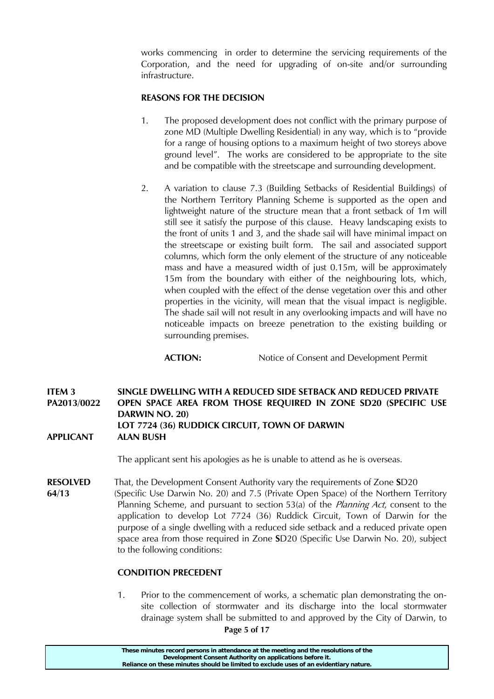works commencing in order to determine the servicing requirements of the Corporation, and the need for upgrading of on-site and/or surrounding infrastructure.

## **REASONS FOR THE DECISION**

- 1. The proposed development does not conflict with the primary purpose of zone MD (Multiple Dwelling Residential) in any way, which is to "provide for a range of housing options to a maximum height of two storeys above ground level". The works are considered to be appropriate to the site and be compatible with the streetscape and surrounding development.
- 2. A variation to clause 7.3 (Building Setbacks of Residential Buildings) of the Northern Territory Planning Scheme is supported as the open and lightweight nature of the structure mean that a front setback of 1m will still see it satisfy the purpose of this clause. Heavy landscaping exists to the front of units 1 and 3, and the shade sail will have minimal impact on the streetscape or existing built form. The sail and associated support columns, which form the only element of the structure of any noticeable mass and have a measured width of just 0.15m, will be approximately 15m from the boundary with either of the neighbouring lots, which, when coupled with the effect of the dense vegetation over this and other properties in the vicinity, will mean that the visual impact is negligible. The shade sail will not result in any overlooking impacts and will have no noticeable impacts on breeze penetration to the existing building or surrounding premises.

**ACTION:** Notice of Consent and Development Permit

**ITEM 3 SINGLE DWELLING WITH A REDUCED SIDE SETBACK AND REDUCED PRIVATE PA2013/0022 OPEN SPACE AREA FROM THOSE REQUIRED IN ZONE SD20 (SPECIFIC USE DARWIN NO. 20) LOT 7724 (36) RUDDICK CIRCUIT, TOWN OF DARWIN APPLICANT ALAN BUSH** 

The applicant sent his apologies as he is unable to attend as he is overseas.

**RESOLVED** That, the Development Consent Authority vary the requirements of Zone **S**D20 **64/13** (Specific Use Darwin No. 20) and 7.5 (Private Open Space) of the Northern Territory Planning Scheme, and pursuant to section 53(a) of the *Planning Act*, consent to the application to develop Lot 7724 (36) Ruddick Circuit, Town of Darwin for the purpose of a single dwelling with a reduced side setback and a reduced private open space area from those required in Zone **S**D20 (Specific Use Darwin No. 20), subject to the following conditions:

## **CONDITION PRECEDENT**

1. Prior to the commencement of works, a schematic plan demonstrating the onsite collection of stormwater and its discharge into the local stormwater drainage system shall be submitted to and approved by the City of Darwin, to

**Page 5 of 17**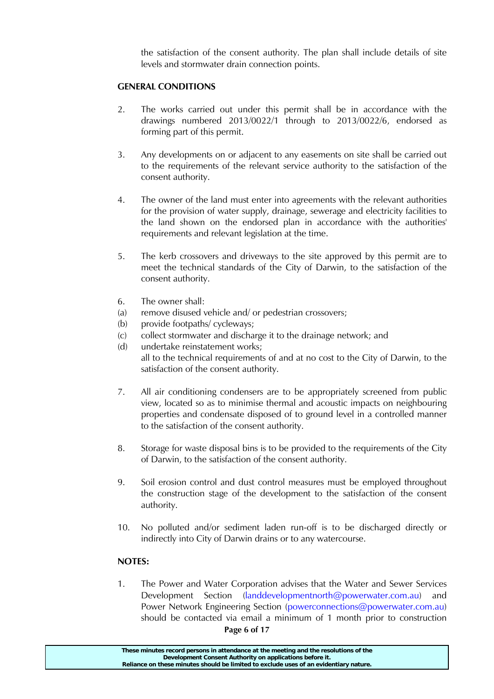the satisfaction of the consent authority. The plan shall include details of site levels and stormwater drain connection points.

## **GENERAL CONDITIONS**

- 2. The works carried out under this permit shall be in accordance with the drawings numbered 2013/0022/1 through to 2013/0022/6, endorsed as forming part of this permit.
- 3. Any developments on or adjacent to any easements on site shall be carried out to the requirements of the relevant service authority to the satisfaction of the consent authority.
- 4. The owner of the land must enter into agreements with the relevant authorities for the provision of water supply, drainage, sewerage and electricity facilities to the land shown on the endorsed plan in accordance with the authorities' requirements and relevant legislation at the time.
- 5. The kerb crossovers and driveways to the site approved by this permit are to meet the technical standards of the City of Darwin, to the satisfaction of the consent authority.
- 6. The owner shall:
- (a) remove disused vehicle and/ or pedestrian crossovers;
- (b) provide footpaths/ cycleways;
- (c) collect stormwater and discharge it to the drainage network; and
- (d) undertake reinstatement works; all to the technical requirements of and at no cost to the City of Darwin, to the satisfaction of the consent authority.
- 7. All air conditioning condensers are to be appropriately screened from public view, located so as to minimise thermal and acoustic impacts on neighbouring properties and condensate disposed of to ground level in a controlled manner to the satisfaction of the consent authority.
- 8. Storage for waste disposal bins is to be provided to the requirements of the City of Darwin, to the satisfaction of the consent authority.
- 9. Soil erosion control and dust control measures must be employed throughout the construction stage of the development to the satisfaction of the consent authority.
- 10. No polluted and/or sediment laden run-off is to be discharged directly or indirectly into City of Darwin drains or to any watercourse.

# **NOTES:**

**Page 6 of 17**  1. The Power and Water Corporation advises that the Water and Sewer Services  $D$ evelopment Section (landdevelopmentnorth@powerwater.com.au) Power Network Engineering Section (powerconnections@powerwater.com.au) should be contacted via email a minimum of 1 month prior to construction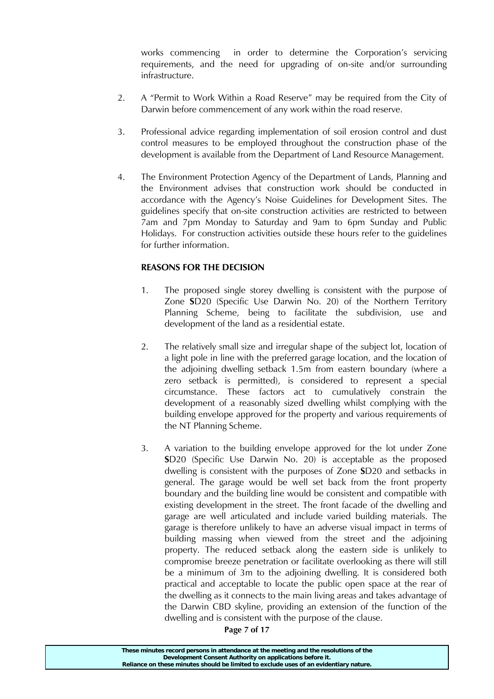works commencing in order to determine the Corporation's servicing requirements, and the need for upgrading of on-site and/or surrounding infrastructure.

- 2. A "Permit to Work Within a Road Reserve" may be required from the City of Darwin before commencement of any work within the road reserve.
- 3. Professional advice regarding implementation of soil erosion control and dust control measures to be employed throughout the construction phase of the development is available from the Department of Land Resource Management.
- 4. The Environment Protection Agency of the Department of Lands, Planning and the Environment advises that construction work should be conducted in accordance with the Agency's Noise Guidelines for Development Sites. The guidelines specify that on-site construction activities are restricted to between 7am and 7pm Monday to Saturday and 9am to 6pm Sunday and Public Holidays. For construction activities outside these hours refer to the guidelines for further information.

# **REASONS FOR THE DECISION**

- 1. The proposed single storey dwelling is consistent with the purpose of Zone **S**D20 (Specific Use Darwin No. 20) of the Northern Territory Planning Scheme, being to facilitate the subdivision, use and development of the land as a residential estate.
- 2. The relatively small size and irregular shape of the subject lot, location of a light pole in line with the preferred garage location, and the location of the adjoining dwelling setback 1.5m from eastern boundary (where a zero setback is permitted), is considered to represent a special circumstance. These factors act to cumulatively constrain the development of a reasonably sized dwelling whilst complying with the building envelope approved for the property and various requirements of the NT Planning Scheme.
- 3. A variation to the building envelope approved for the lot under Zone **S**D20 (Specific Use Darwin No. 20) is acceptable as the proposed dwelling is consistent with the purposes of Zone **S**D20 and setbacks in general. The garage would be well set back from the front property boundary and the building line would be consistent and compatible with existing development in the street. The front facade of the dwelling and garage are well articulated and include varied building materials. The garage is therefore unlikely to have an adverse visual impact in terms of building massing when viewed from the street and the adjoining property. The reduced setback along the eastern side is unlikely to compromise breeze penetration or facilitate overlooking as there will still be a minimum of 3m to the adjoining dwelling. It is considered both practical and acceptable to locate the public open space at the rear of the dwelling as it connects to the main living areas and takes advantage of the Darwin CBD skyline, providing an extension of the function of the dwelling and is consistent with the purpose of the clause.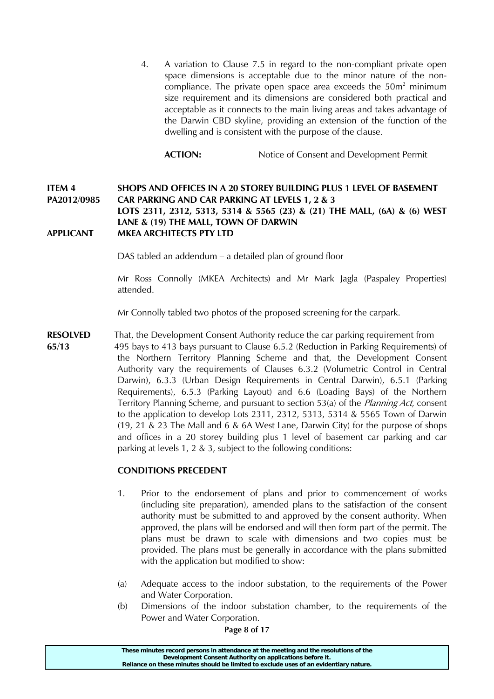4. A variation to Clause 7.5 in regard to the non-compliant private open space dimensions is acceptable due to the minor nature of the noncompliance. The private open space area exceeds the  $50m<sup>2</sup>$  minimum size requirement and its dimensions are considered both practical and acceptable as it connects to the main living areas and takes advantage of the Darwin CBD skyline, providing an extension of the function of the dwelling and is consistent with the purpose of the clause.

**ACTION:** Notice of Consent and Development Permit

## **ITEM 4 SHOPS AND OFFICES IN A 20 STOREY BUILDING PLUS 1 LEVEL OF BASEMENT PA2012/0985 CAR PARKING AND CAR PARKING AT LEVELS 1, 2 & 3 LOTS 2311, 2312, 5313, 5314 & 5565 (23) & (21) THE MALL, (6A) & (6) WEST LANE & (19) THE MALL, TOWN OF DARWIN APPLICANT MKEA ARCHITECTS PTY LTD**

DAS tabled an addendum – a detailed plan of ground floor

 Mr Ross Connolly (MKEA Architects) and Mr Mark Jagla (Paspaley Properties) attended.

Mr Connolly tabled two photos of the proposed screening for the carpark.

**RESOLVED** That, the Development Consent Authority reduce the car parking requirement from **65/13** 495 bays to 413 bays pursuant to Clause 6.5.2 (Reduction in Parking Requirements) of the Northern Territory Planning Scheme and that, the Development Consent Authority vary the requirements of Clauses 6.3.2 (Volumetric Control in Central Darwin), 6.3.3 (Urban Design Requirements in Central Darwin), 6.5.1 (Parking Requirements), 6.5.3 (Parking Layout) and 6.6 (Loading Bays) of the Northern Territory Planning Scheme, and pursuant to section 53(a) of the *Planning Act*, consent to the application to develop Lots 2311, 2312, 5313, 5314 & 5565 Town of Darwin (19, 21 & 23 The Mall and 6 & 6A West Lane, Darwin City) for the purpose of shops and offices in a 20 storey building plus 1 level of basement car parking and car parking at levels 1, 2 & 3, subject to the following conditions:

## **CONDITIONS PRECEDENT**

- 1. Prior to the endorsement of plans and prior to commencement of works (including site preparation), amended plans to the satisfaction of the consent authority must be submitted to and approved by the consent authority. When approved, the plans will be endorsed and will then form part of the permit. The plans must be drawn to scale with dimensions and two copies must be provided. The plans must be generally in accordance with the plans submitted with the application but modified to show:
- (a) Adequate access to the indoor substation, to the requirements of the Power and Water Corporation.
- (b) Dimensions of the indoor substation chamber, to the requirements of the Power and Water Corporation.

**Page 8 of 17**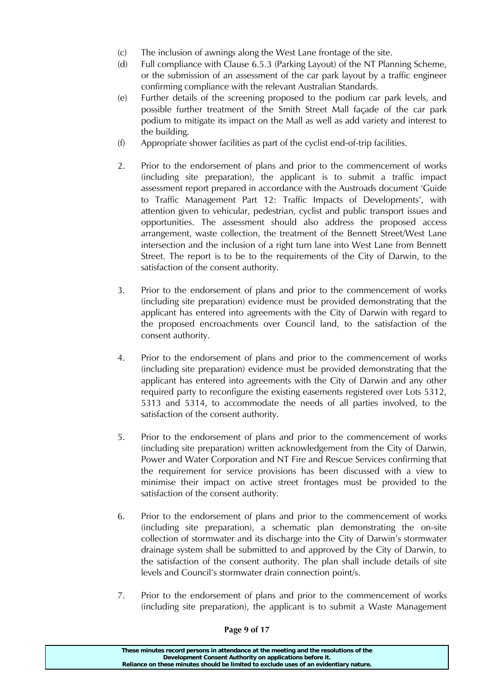- (c) The inclusion of awnings along the West Lane frontage of the site.
- (d) Full compliance with Clause 6.5.3 (Parking Layout) of the NT Planning Scheme, or the submission of an assessment of the car park layout by a traffic engineer confirming compliance with the relevant Australian Standards.
- (e) Further details of the screening proposed to the podium car park levels, and possible further treatment of the Smith Street Mall façade of the car park podium to mitigate its impact on the Mall as well as add variety and interest to the building.
- (f) Appropriate shower facilities as part of the cyclist end-of-trip facilities.
- 2. Prior to the endorsement of plans and prior to the commencement of works (including site preparation), the applicant is to submit a traffic impact assessment report prepared in accordance with the Austroads document 'Guide to Traffic Management Part 12: Traffic Impacts of Developments', with attention given to vehicular, pedestrian, cyclist and public transport issues and opportunities. The assessment should also address the proposed access arrangement, waste collection, the treatment of the Bennett Street/West Lane intersection and the inclusion of a right turn lane into West Lane from Bennett Street. The report is to be to the requirements of the City of Darwin, to the satisfaction of the consent authority.
- 3. Prior to the endorsement of plans and prior to the commencement of works (including site preparation) evidence must be provided demonstrating that the applicant has entered into agreements with the City of Darwin with regard to the proposed encroachments over Council land, to the satisfaction of the consent authority.
- 4. Prior to the endorsement of plans and prior to the commencement of works (including site preparation) evidence must be provided demonstrating that the applicant has entered into agreements with the City of Darwin and any other required party to reconfigure the existing easements registered over Lots 5312, 5313 and 5314, to accommodate the needs of all parties involved, to the satisfaction of the consent authority.
- 5. Prior to the endorsement of plans and prior to the commencement of works (including site preparation) written acknowledgement from the City of Darwin, Power and Water Corporation and NT Fire and Rescue Services confirming that the requirement for service provisions has been discussed with a view to minimise their impact on active street frontages must be provided to the satisfaction of the consent authority.
- 6. Prior to the endorsement of plans and prior to the commencement of works (including site preparation), a schematic plan demonstrating the on-site collection of stormwater and its discharge into the City of Darwin's stormwater drainage system shall be submitted to and approved by the City of Darwin, to the satisfaction of the consent authority. The plan shall include details of site levels and Council's stormwater drain connection point/s.
- 7. Prior to the endorsement of plans and prior to the commencement of works (including site preparation), the applicant is to submit a Waste Management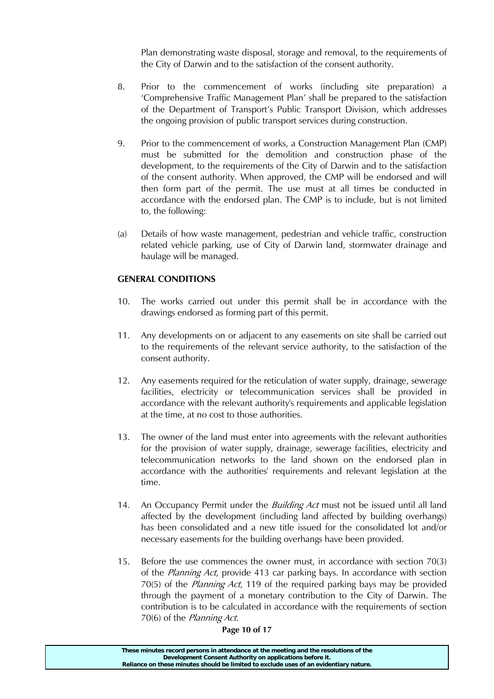Plan demonstrating waste disposal, storage and removal, to the requirements of the City of Darwin and to the satisfaction of the consent authority.

- 8. Prior to the commencement of works (including site preparation) a 'Comprehensive Traffic Management Plan' shall be prepared to the satisfaction of the Department of Transport's Public Transport Division, which addresses the ongoing provision of public transport services during construction.
- 9. Prior to the commencement of works, a Construction Management Plan (CMP) must be submitted for the demolition and construction phase of the development, to the requirements of the City of Darwin and to the satisfaction of the consent authority. When approved, the CMP will be endorsed and will then form part of the permit. The use must at all times be conducted in accordance with the endorsed plan. The CMP is to include, but is not limited to, the following:
- (a) Details of how waste management, pedestrian and vehicle traffic, construction related vehicle parking, use of City of Darwin land, stormwater drainage and haulage will be managed.

# **GENERAL CONDITIONS**

- 10. The works carried out under this permit shall be in accordance with the drawings endorsed as forming part of this permit.
- 11. Any developments on or adjacent to any easements on site shall be carried out to the requirements of the relevant service authority, to the satisfaction of the consent authority.
- 12. Any easements required for the reticulation of water supply, drainage, sewerage facilities, electricity or telecommunication services shall be provided in accordance with the relevant authority's requirements and applicable legislation at the time, at no cost to those authorities.
- 13. The owner of the land must enter into agreements with the relevant authorities for the provision of water supply, drainage, sewerage facilities, electricity and telecommunication networks to the land shown on the endorsed plan in accordance with the authorities' requirements and relevant legislation at the time.
- 14. An Occupancy Permit under the *Building Act* must not be issued until all land affected by the development (including land affected by building overhangs) has been consolidated and a new title issued for the consolidated lot and/or necessary easements for the building overhangs have been provided.
- 15. Before the use commences the owner must, in accordance with section 70(3) of the Planning Act, provide 413 car parking bays. In accordance with section 70(5) of the Planning Act, 119 of the required parking bays may be provided through the payment of a monetary contribution to the City of Darwin. The contribution is to be calculated in accordance with the requirements of section 70(6) of the Planning Act.

#### **Page 10 of 17**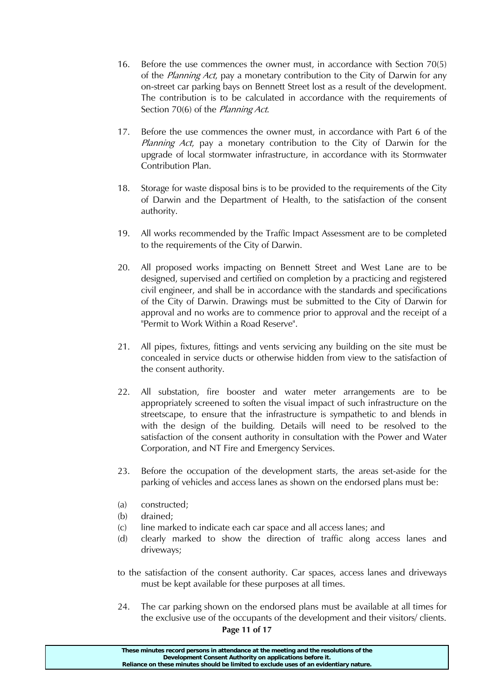- 16. Before the use commences the owner must, in accordance with Section 70(5) of the *Planning Act*, pay a monetary contribution to the City of Darwin for any on-street car parking bays on Bennett Street lost as a result of the development. The contribution is to be calculated in accordance with the requirements of Section 70(6) of the *Planning Act*.
- 17. Before the use commences the owner must, in accordance with Part 6 of the Planning Act, pay a monetary contribution to the City of Darwin for the upgrade of local stormwater infrastructure, in accordance with its Stormwater Contribution Plan.
- 18. Storage for waste disposal bins is to be provided to the requirements of the City of Darwin and the Department of Health, to the satisfaction of the consent authority.
- 19. All works recommended by the Traffic Impact Assessment are to be completed to the requirements of the City of Darwin.
- 20. All proposed works impacting on Bennett Street and West Lane are to be designed, supervised and certified on completion by a practicing and registered civil engineer, and shall be in accordance with the standards and specifications of the City of Darwin. Drawings must be submitted to the City of Darwin for approval and no works are to commence prior to approval and the receipt of a "Permit to Work Within a Road Reserve".
- 21. All pipes, fixtures, fittings and vents servicing any building on the site must be concealed in service ducts or otherwise hidden from view to the satisfaction of the consent authority.
- 22. All substation, fire booster and water meter arrangements are to be appropriately screened to soften the visual impact of such infrastructure on the streetscape, to ensure that the infrastructure is sympathetic to and blends in with the design of the building. Details will need to be resolved to the satisfaction of the consent authority in consultation with the Power and Water Corporation, and NT Fire and Emergency Services.
- 23. Before the occupation of the development starts, the areas set-aside for the parking of vehicles and access lanes as shown on the endorsed plans must be:
- (a) constructed;
- (b) drained;
- (c) line marked to indicate each car space and all access lanes; and
- (d) clearly marked to show the direction of traffic along access lanes and driveways;
- to the satisfaction of the consent authority. Car spaces, access lanes and driveways must be kept available for these purposes at all times.
- 24. The car parking shown on the endorsed plans must be available at all times for the exclusive use of the occupants of the development and their visitors/ clients.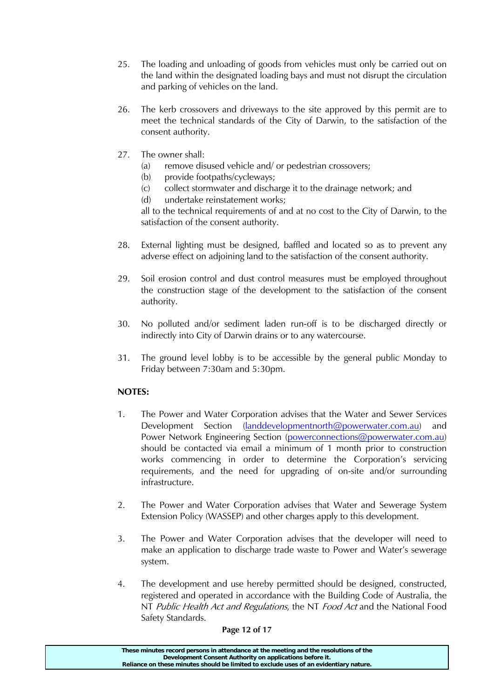- 25. The loading and unloading of goods from vehicles must only be carried out on the land within the designated loading bays and must not disrupt the circulation and parking of vehicles on the land.
- 26. The kerb crossovers and driveways to the site approved by this permit are to meet the technical standards of the City of Darwin, to the satisfaction of the consent authority.
- 27. The owner shall:
	- (a) remove disused vehicle and/ or pedestrian crossovers;
	- (b) provide footpaths/cycleways;
	- (c) collect stormwater and discharge it to the drainage network; and
	- (d) undertake reinstatement works;

 all to the technical requirements of and at no cost to the City of Darwin, to the satisfaction of the consent authority.

- 28. External lighting must be designed, baffled and located so as to prevent any adverse effect on adjoining land to the satisfaction of the consent authority.
- 29. Soil erosion control and dust control measures must be employed throughout the construction stage of the development to the satisfaction of the consent authority.
- 30. No polluted and/or sediment laden run-off is to be discharged directly or indirectly into City of Darwin drains or to any watercourse.
- 31. The ground level lobby is to be accessible by the general public Monday to Friday between 7:30am and 5:30pm.

# **NOTES:**

- 1. The Power and Water Corporation advises that the Water and Sewer Services Development Section (landdevelopmentnorth@powerwater.com.au) and Power Network Engineering Section (powerconnections@powerwater.com.au) should be contacted via email a minimum of 1 month prior to construction works commencing in order to determine the Corporation's servicing requirements, and the need for upgrading of on-site and/or surrounding infrastructure.
- 2. The Power and Water Corporation advises that Water and Sewerage System Extension Policy (WASSEP) and other charges apply to this development.
- 3. The Power and Water Corporation advises that the developer will need to make an application to discharge trade waste to Power and Water's sewerage system.
- 4. The development and use hereby permitted should be designed, constructed, registered and operated in accordance with the Building Code of Australia, the NT Public Health Act and Regulations, the NT Food Act and the National Food Safety Standards.

## **Page 12 of 17**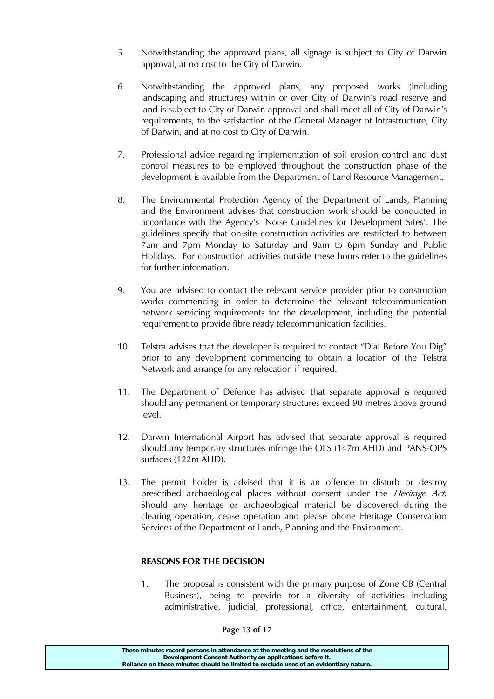- 5. Notwithstanding the approved plans, all signage is subject to City of Darwin approval, at no cost to the City of Darwin.
- 6. Notwithstanding the approved plans, any proposed works (including landscaping and structures) within or over City of Darwin's road reserve and land is subject to City of Darwin approval and shall meet all of City of Darwin's requirements, to the satisfaction of the General Manager of Infrastructure, City of Darwin, and at no cost to City of Darwin.
- 7. Professional advice regarding implementation of soil erosion control and dust control measures to be employed throughout the construction phase of the development is available from the Department of Land Resource Management.
- 8. The Environmental Protection Agency of the Department of Lands, Planning and the Environment advises that construction work should be conducted in accordance with the Agency's 'Noise Guidelines for Development Sites'. The guidelines specify that on-site construction activities are restricted to between 7am and 7pm Monday to Saturday and 9am to 6pm Sunday and Public Holidays. For construction activities outside these hours refer to the guidelines for further information.
- 9. You are advised to contact the relevant service provider prior to construction works commencing in order to determine the relevant telecommunication network servicing requirements for the development, including the potential requirement to provide fibre ready telecommunication facilities.
- 10. Telstra advises that the developer is required to contact "Dial Before You Dig" prior to any development commencing to obtain a location of the Telstra Network and arrange for any relocation if required.
- 11. The Department of Defence has advised that separate approval is required should any permanent or temporary structures exceed 90 metres above ground level.
- 12. Darwin International Airport has advised that separate approval is required should any temporary structures infringe the OLS (147m AHD) and PANS-OPS surfaces (122m AHD).
- 13. The permit holder is advised that it is an offence to disturb or destroy prescribed archaeological places without consent under the *Heritage Act*. Should any heritage or archaeological material be discovered during the clearing operation, cease operation and please phone Heritage Conservation Services of the Department of Lands, Planning and the Environment.

# **REASONS FOR THE DECISION**

1. The proposal is consistent with the primary purpose of Zone CB (Central Business), being to provide for a diversity of activities including administrative, judicial, professional, office, entertainment, cultural,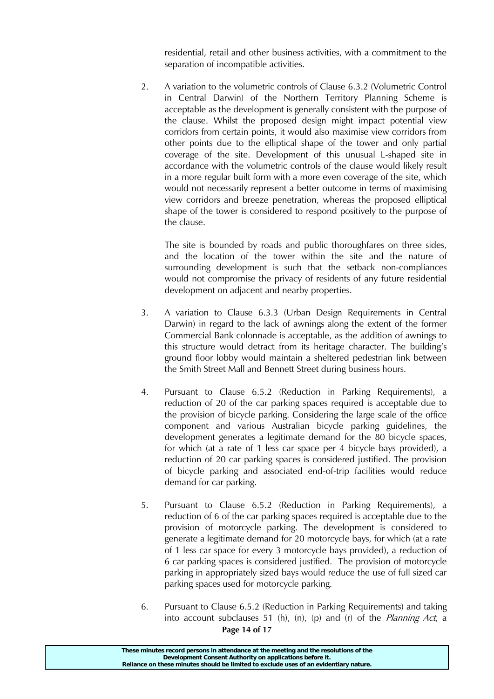residential, retail and other business activities, with a commitment to the separation of incompatible activities.

2. A variation to the volumetric controls of Clause 6.3.2 (Volumetric Control in Central Darwin) of the Northern Territory Planning Scheme is acceptable as the development is generally consistent with the purpose of the clause. Whilst the proposed design might impact potential view corridors from certain points, it would also maximise view corridors from other points due to the elliptical shape of the tower and only partial coverage of the site. Development of this unusual L-shaped site in accordance with the volumetric controls of the clause would likely result in a more regular built form with a more even coverage of the site, which would not necessarily represent a better outcome in terms of maximising view corridors and breeze penetration, whereas the proposed elliptical shape of the tower is considered to respond positively to the purpose of the clause.

 The site is bounded by roads and public thoroughfares on three sides, and the location of the tower within the site and the nature of surrounding development is such that the setback non-compliances would not compromise the privacy of residents of any future residential development on adjacent and nearby properties.

- 3. A variation to Clause 6.3.3 (Urban Design Requirements in Central Darwin) in regard to the lack of awnings along the extent of the former Commercial Bank colonnade is acceptable, as the addition of awnings to this structure would detract from its heritage character. The building's ground floor lobby would maintain a sheltered pedestrian link between the Smith Street Mall and Bennett Street during business hours.
- 4. Pursuant to Clause 6.5.2 (Reduction in Parking Requirements), a reduction of 20 of the car parking spaces required is acceptable due to the provision of bicycle parking. Considering the large scale of the office component and various Australian bicycle parking guidelines, the development generates a legitimate demand for the 80 bicycle spaces, for which (at a rate of 1 less car space per 4 bicycle bays provided), a reduction of 20 car parking spaces is considered justified. The provision of bicycle parking and associated end-of-trip facilities would reduce demand for car parking.
- 5. Pursuant to Clause 6.5.2 (Reduction in Parking Requirements), a reduction of 6 of the car parking spaces required is acceptable due to the provision of motorcycle parking. The development is considered to generate a legitimate demand for 20 motorcycle bays, for which (at a rate of 1 less car space for every 3 motorcycle bays provided), a reduction of 6 car parking spaces is considered justified. The provision of motorcycle parking in appropriately sized bays would reduce the use of full sized car parking spaces used for motorcycle parking.
- **Page 14 of 17**  6. Pursuant to Clause 6.5.2 (Reduction in Parking Requirements) and taking into account subclauses 51 (h), (n), (p) and (r) of the *Planning Act*, a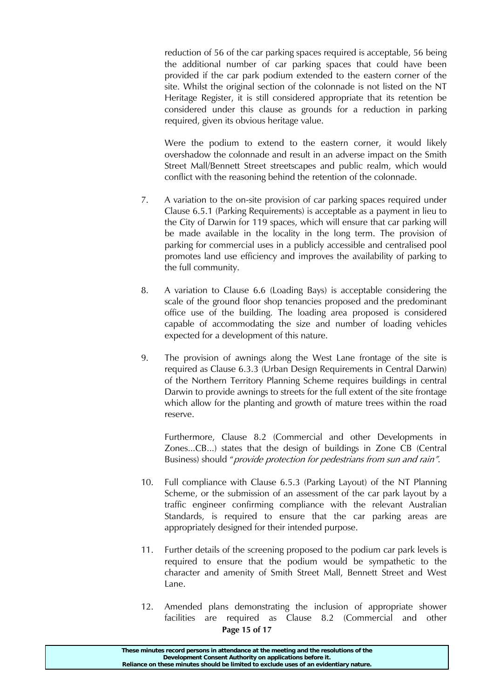reduction of 56 of the car parking spaces required is acceptable, 56 being the additional number of car parking spaces that could have been provided if the car park podium extended to the eastern corner of the site. Whilst the original section of the colonnade is not listed on the NT Heritage Register, it is still considered appropriate that its retention be considered under this clause as grounds for a reduction in parking required, given its obvious heritage value.

 Were the podium to extend to the eastern corner, it would likely overshadow the colonnade and result in an adverse impact on the Smith Street Mall/Bennett Street streetscapes and public realm, which would conflict with the reasoning behind the retention of the colonnade.

- 7. A variation to the on-site provision of car parking spaces required under Clause 6.5.1 (Parking Requirements) is acceptable as a payment in lieu to the City of Darwin for 119 spaces, which will ensure that car parking will be made available in the locality in the long term. The provision of parking for commercial uses in a publicly accessible and centralised pool promotes land use efficiency and improves the availability of parking to the full community.
- 8. A variation to Clause 6.6 (Loading Bays) is acceptable considering the scale of the ground floor shop tenancies proposed and the predominant office use of the building. The loading area proposed is considered capable of accommodating the size and number of loading vehicles expected for a development of this nature.
- 9. The provision of awnings along the West Lane frontage of the site is required as Clause 6.3.3 (Urban Design Requirements in Central Darwin) of the Northern Territory Planning Scheme requires buildings in central Darwin to provide awnings to streets for the full extent of the site frontage which allow for the planting and growth of mature trees within the road reserve.

Furthermore, Clause 8.2 (Commercial and other Developments in Zones...CB...) states that the design of buildings in Zone CB (Central Business) should "*provide protection for pedestrians from sun and rain"*.

- 10. Full compliance with Clause 6.5.3 (Parking Layout) of the NT Planning Scheme, or the submission of an assessment of the car park layout by a traffic engineer confirming compliance with the relevant Australian Standards, is required to ensure that the car parking areas are appropriately designed for their intended purpose.
- 11. Further details of the screening proposed to the podium car park levels is required to ensure that the podium would be sympathetic to the character and amenity of Smith Street Mall, Bennett Street and West Lane.
- **Page 15 of 17**  12. Amended plans demonstrating the inclusion of appropriate shower facilities are required as Clause 8.2 (Commercial and other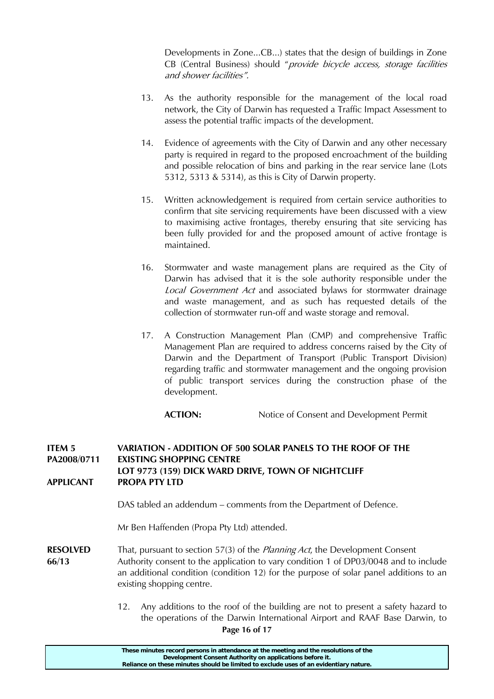Developments in Zone...CB...) states that the design of buildings in Zone CB (Central Business) should "provide bicycle access, storage facilities and shower facilities".

- 13. As the authority responsible for the management of the local road network, the City of Darwin has requested a Traffic Impact Assessment to assess the potential traffic impacts of the development.
- 14. Evidence of agreements with the City of Darwin and any other necessary party is required in regard to the proposed encroachment of the building and possible relocation of bins and parking in the rear service lane (Lots 5312, 5313 & 5314), as this is City of Darwin property.
- 15. Written acknowledgement is required from certain service authorities to confirm that site servicing requirements have been discussed with a view to maximising active frontages, thereby ensuring that site servicing has been fully provided for and the proposed amount of active frontage is maintained.
- 16. Stormwater and waste management plans are required as the City of Darwin has advised that it is the sole authority responsible under the Local Government Act and associated bylaws for stormwater drainage and waste management, and as such has requested details of the collection of stormwater run-off and waste storage and removal.
- 17. A Construction Management Plan (CMP) and comprehensive Traffic Management Plan are required to address concerns raised by the City of Darwin and the Department of Transport (Public Transport Division) regarding traffic and stormwater management and the ongoing provision of public transport services during the construction phase of the development.

**ACTION:** Notice of Consent and Development Permit

### **ITEM 5 VARIATION - ADDITION OF 500 SOLAR PANELS TO THE ROOF OF THE PA2008/0711 EXISTING SHOPPING CENTRE LOT 9773 (159) DICK WARD DRIVE, TOWN OF NIGHTCLIFF APPLICANT PROPA PTY LTD**

DAS tabled an addendum – comments from the Department of Defence.

Mr Ben Haffenden (Propa Pty Ltd) attended.

- **RESOLVED** That, pursuant to section 57(3) of the *Planning Act*, the Development Consent **66/13** Authority consent to the application to vary condition 1 of DP03/0048 and to include an additional condition (condition 12) for the purpose of solar panel additions to an existing shopping centre.
	- 12. Any additions to the roof of the building are not to present a safety hazard to the operations of the Darwin International Airport and RAAF Base Darwin, to

**Page 16 of 17**